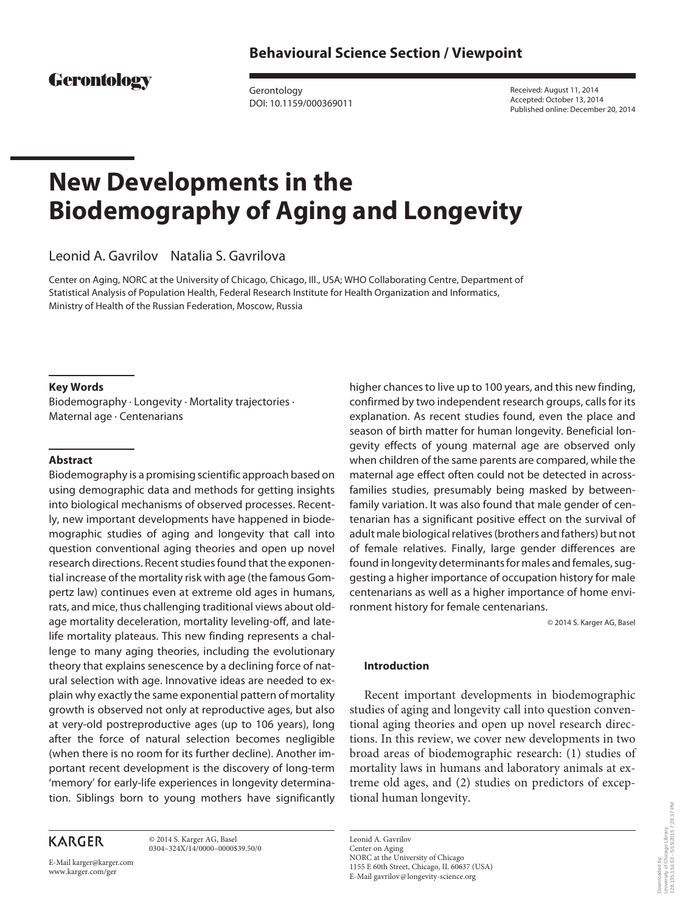# **Gerontology**

 Gerontology DOI: 10.1159/000369011

 Received: August 11, 2014 Accepted: October 13, 2014 Published online: December 20, 2014

# **New Developments in the Biodemography of Aging and Longevity**

Leonid A. Gavrilov Natalia S. Gavrilova

 Center on Aging, NORC at the University of Chicago, Chicago, Ill. , USA; WHO Collaborating Centre, Department of Statistical Analysis of Population Health, Federal Research Institute for Health Organization and Informatics, Ministry of Health of the Russian Federation, Moscow, Russia

#### **Key Words**

 Biodemography · Longevity · Mortality trajectories · Maternal age · Centenarians

#### **Abstract**

 Biodemography is a promising scientific approach based on using demographic data and methods for getting insights into biological mechanisms of observed processes. Recently, new important developments have happened in biodemographic studies of aging and longevity that call into question conventional aging theories and open up novel research directions. Recent studies found that the exponential increase of the mortality risk with age (the famous Gompertz law) continues even at extreme old ages in humans, rats, and mice, thus challenging traditional views about oldage mortality deceleration, mortality leveling-off, and latelife mortality plateaus. This new finding represents a challenge to many aging theories, including the evolutionary theory that explains senescence by a declining force of natural selection with age. Innovative ideas are needed to explain why exactly the same exponential pattern of mortality growth is observed not only at reproductive ages, but also at very-old postreproductive ages (up to 106 years), long after the force of natural selection becomes negligible (when there is no room for its further decline). Another important recent development is the discovery of long-term 'memory' for early-life experiences in longevity determination. Siblings born to young mothers have significantly

# **KARGER**

 © 2014 S. Karger AG, Basel 0304–324X/14/0000–0000\$39.50/0

E-Mail karger@karger.com www.karger.com/ger

higher chances to live up to 100 years, and this new finding, confirmed by two independent research groups, calls for its explanation. As recent studies found, even the place and season of birth matter for human longevity. Beneficial longevity effects of young maternal age are observed only when children of the same parents are compared, while the maternal age effect often could not be detected in acrossfamilies studies, presumably being masked by betweenfamily variation. It was also found that male gender of centenarian has a significant positive effect on the survival of adult male biological relatives (brothers and fathers) but not of female relatives. Finally, large gender differences are found in longevity determinants for males and females, suggesting a higher importance of occupation history for male centenarians as well as a higher importance of home environment history for female centenarians.

© 2014 S. Karger AG, Basel

#### **Introduction**

 Recent important developments in biodemographic studies of aging and longevity call into question conventional aging theories and open up novel research directions. In this review, we cover new developments in two broad areas of biodemographic research: (1) studies of mortality laws in humans and laboratory animals at extreme old ages, and (2) studies on predictors of exceptional human longevity.

Jniversity of Chicago Library<br>28.135.134.63 - 5/15/2015 7:28:37 PM 128.135.134.63 - 5/15/2015 7:28:37 PMUniversity of Chicago Library Downloaded by:

 Leonid A. Gavrilov Center on Aging NORC at the University of Chicago 1155 E 60th Street, Chicago, IL 60637 (USA) E-Mail gavrilov @ longevity-science.org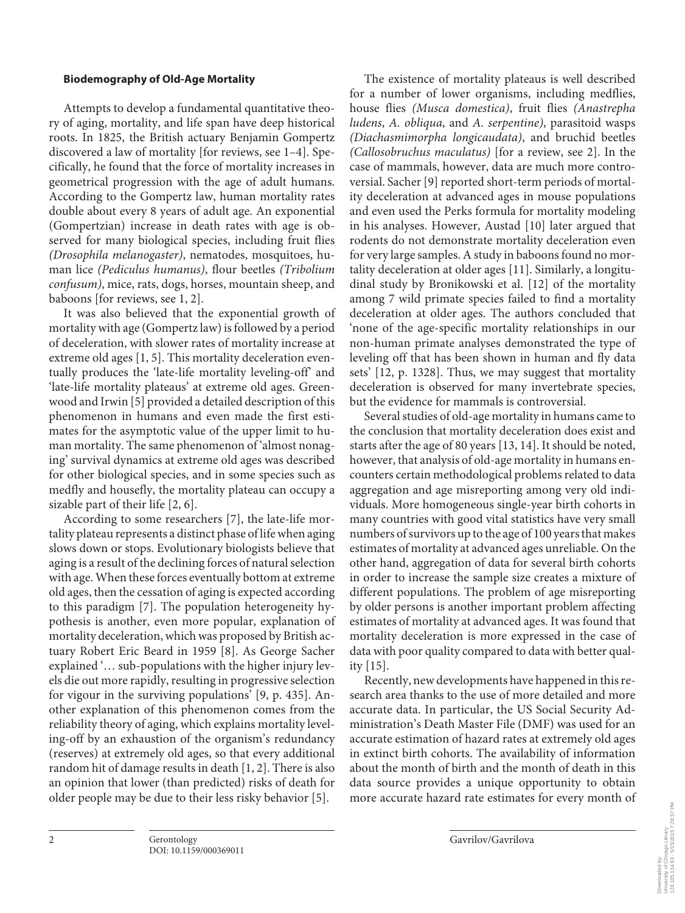#### **Biodemography of Old-Age Mortality**

 Attempts to develop a fundamental quantitative theory of aging, mortality, and life span have deep historical roots. In 1825, the British actuary Benjamin Gompertz discovered a law of mortality [for reviews, see 1–4]. Specifically, he found that the force of mortality increases in geometrical progression with the age of adult humans. According to the Gompertz law, human mortality rates double about every 8 years of adult age. An exponential (Gompertzian) increase in death rates with age is observed for many biological species, including fruit flies *(Drosophila melanogaster)* , nematodes, mosquitoes, human lice *(Pediculus humanus)* , flour beetles *(Tribolium confusum)* , mice, rats, dogs, horses, mountain sheep, and baboons [for reviews, see 1, 2].

 It was also believed that the exponential growth of mortality with age (Gompertz law) is followed by a period of deceleration, with slower rates of mortality increase at extreme old ages  $[1, 5]$ . This mortality deceleration eventually produces the 'late-life mortality leveling-off' and 'late-life mortality plateaus' at extreme old ages. Greenwood and Irwin [5] provided a detailed description of this phenomenon in humans and even made the first estimates for the asymptotic value of the upper limit to human mortality. The same phenomenon of 'almost nonaging' survival dynamics at extreme old ages was described for other biological species, and in some species such as medfly and housefly, the mortality plateau can occupy a sizable part of their life [2, 6].

According to some researchers [7], the late-life mortality plateau represents a distinct phase of life when aging slows down or stops. Evolutionary biologists believe that aging is a result of the declining forces of natural selection with age. When these forces eventually bottom at extreme old ages, then the cessation of aging is expected according to this paradigm [7]. The population heterogeneity hypothesis is another, even more popular, explanation of mortality deceleration, which was proposed by British actuary Robert Eric Beard in 1959 [8]. As George Sacher explained '… sub-populations with the higher injury levels die out more rapidly, resulting in progressive selection for vigour in the surviving populations' [9, p. 435]. Another explanation of this phenomenon comes from the reliability theory of aging, which explains mortality leveling-off by an exhaustion of the organism's redundancy (reserves) at extremely old ages, so that every additional random hit of damage results in death [1, 2] . There is also an opinion that lower (than predicted) risks of death for older people may be due to their less risky behavior [5] .

 The existence of mortality plateaus is well described for a number of lower organisms, including medflies, house flies *(Musca domestica)* , fruit flies *(Anastrepha ludens* , *A. obliqua* , and *A. serpentine)* , parasitoid wasps *(Diachasmimorpha longicaudata)* , and bruchid beetles *(Callosobruchus maculatus)* [for a review, see 2]. In the case of mammals, however, data are much more controversial. Sacher [9] reported short-term periods of mortality deceleration at advanced ages in mouse populations and even used the Perks formula for mortality modeling in his analyses. However, Austad [10] later argued that rodents do not demonstrate mortality deceleration even for very large samples. A study in baboons found no mortality deceleration at older ages [11] . Similarly, a longitudinal study by Bronikowski et al. [12] of the mortality among 7 wild primate species failed to find a mortality deceleration at older ages. The authors concluded that 'none of the age-specific mortality relationships in our non-human primate analyses demonstrated the type of leveling off that has been shown in human and fly data sets' [12, p. 1328]. Thus, we may suggest that mortality deceleration is observed for many invertebrate species, but the evidence for mammals is controversial.

 Several studies of old-age mortality in humans came to the conclusion that mortality deceleration does exist and starts after the age of 80 years [13, 14] . It should be noted, however, that analysis of old-age mortality in humans encounters certain methodological problems related to data aggregation and age misreporting among very old individuals. More homogeneous single-year birth cohorts in many countries with good vital statistics have very small numbers of survivors up to the age of 100 years that makes estimates of mortality at advanced ages unreliable. On the other hand, aggregation of data for several birth cohorts in order to increase the sample size creates a mixture of different populations. The problem of age misreporting by older persons is another important problem affecting estimates of mortality at advanced ages. It was found that mortality deceleration is more expressed in the case of data with poor quality compared to data with better quality [15] .

 Recently, new developments have happened in this research area thanks to the use of more detailed and more accurate data. In particular, the US Social Security Administration's Death Master File (DMF) was used for an accurate estimation of hazard rates at extremely old ages in extinct birth cohorts. The availability of information about the month of birth and the month of death in this data source provides a unique opportunity to obtain more accurate hazard rate estimates for every month of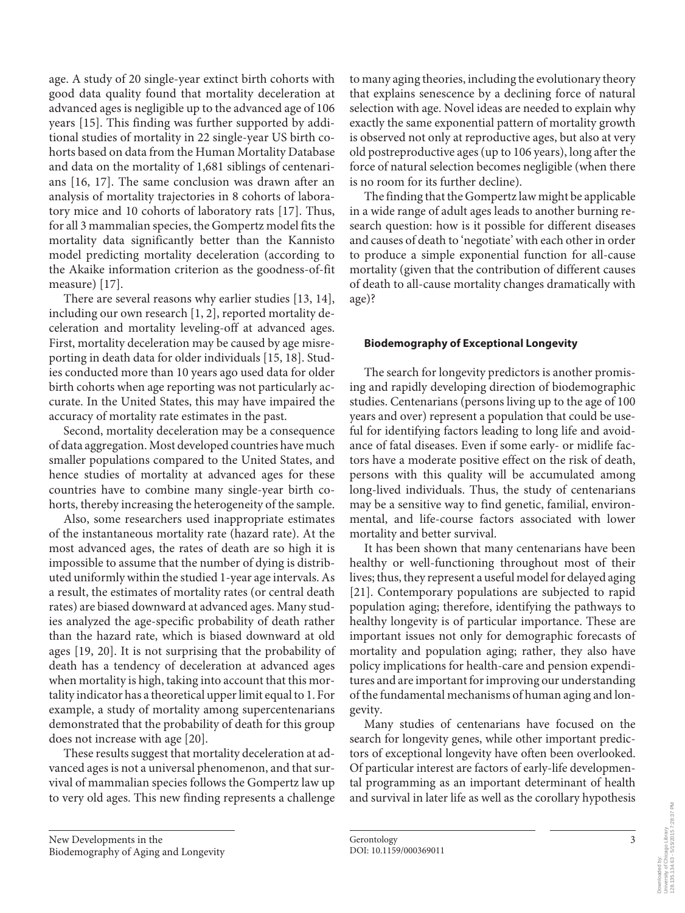age. A study of 20 single-year extinct birth cohorts with good data quality found that mortality deceleration at advanced ages is negligible up to the advanced age of 106 years [15]. This finding was further supported by additional studies of mortality in 22 single-year US birth cohorts based on data from the Human Mortality Database and data on the mortality of 1,681 siblings of centenarians [16, 17]. The same conclusion was drawn after an analysis of mortality trajectories in 8 cohorts of laboratory mice and 10 cohorts of laboratory rats [17]. Thus, for all 3 mammalian species, the Gompertz model fits the mortality data significantly better than the Kannisto model predicting mortality deceleration (according to the Akaike information criterion as the goodness-of-fit measure) [17].

There are several reasons why earlier studies [13, 14], including our own research [1, 2], reported mortality deceleration and mortality leveling-off at advanced ages. First, mortality deceleration may be caused by age misreporting in death data for older individuals [15, 18] . Studies conducted more than 10 years ago used data for older birth cohorts when age reporting was not particularly accurate. In the United States, this may have impaired the accuracy of mortality rate estimates in the past.

 Second, mortality deceleration may be a consequence of data aggregation. Most developed countries have much smaller populations compared to the United States, and hence studies of mortality at advanced ages for these countries have to combine many single-year birth cohorts, thereby increasing the heterogeneity of the sample.

 Also, some researchers used inappropriate estimates of the instantaneous mortality rate (hazard rate). At the most advanced ages, the rates of death are so high it is impossible to assume that the number of dying is distributed uniformly within the studied 1-year age intervals. As a result, the estimates of mortality rates (or central death rates) are biased downward at advanced ages. Many studies analyzed the age-specific probability of death rather than the hazard rate, which is biased downward at old ages [19, 20]. It is not surprising that the probability of death has a tendency of deceleration at advanced ages when mortality is high, taking into account that this mortality indicator has a theoretical upper limit equal to 1. For example, a study of mortality among supercentenarians demonstrated that the probability of death for this group does not increase with age [20].

 These results suggest that mortality deceleration at advanced ages is not a universal phenomenon, and that survival of mammalian species follows the Gompertz law up to very old ages. This new finding represents a challenge to many aging theories, including the evolutionary theory that explains senescence by a declining force of natural selection with age. Novel ideas are needed to explain why exactly the same exponential pattern of mortality growth is observed not only at reproductive ages, but also at very old postreproductive ages (up to 106 years), long after the force of natural selection becomes negligible (when there is no room for its further decline).

 The finding that the Gompertz law might be applicable in a wide range of adult ages leads to another burning research question: how is it possible for different diseases and causes of death to 'negotiate' with each other in order to produce a simple exponential function for all-cause mortality (given that the contribution of different causes of death to all-cause mortality changes dramatically with age)?

#### **Biodemography of Exceptional Longevity**

 The search for longevity predictors is another promising and rapidly developing direction of biodemographic studies. Centenarians (persons living up to the age of 100 years and over) represent a population that could be useful for identifying factors leading to long life and avoidance of fatal diseases. Even if some early- or midlife factors have a moderate positive effect on the risk of death, persons with this quality will be accumulated among long-lived individuals. Thus, the study of centenarians may be a sensitive way to find genetic, familial, environmental, and life-course factors associated with lower mortality and better survival.

 It has been shown that many centenarians have been healthy or well-functioning throughout most of their lives; thus, they represent a useful model for delayed aging [21]. Contemporary populations are subjected to rapid population aging; therefore, identifying the pathways to healthy longevity is of particular importance. These are important issues not only for demographic forecasts of mortality and population aging; rather, they also have policy implications for health-care and pension expenditures and are important for improving our understanding of the fundamental mechanisms of human aging and longevity.

 Many studies of centenarians have focused on the search for longevity genes, while other important predictors of exceptional longevity have often been overlooked. Of particular interest are factors of early-life developmental programming as an important determinant of health and survival in later life as well as the corollary hypothesis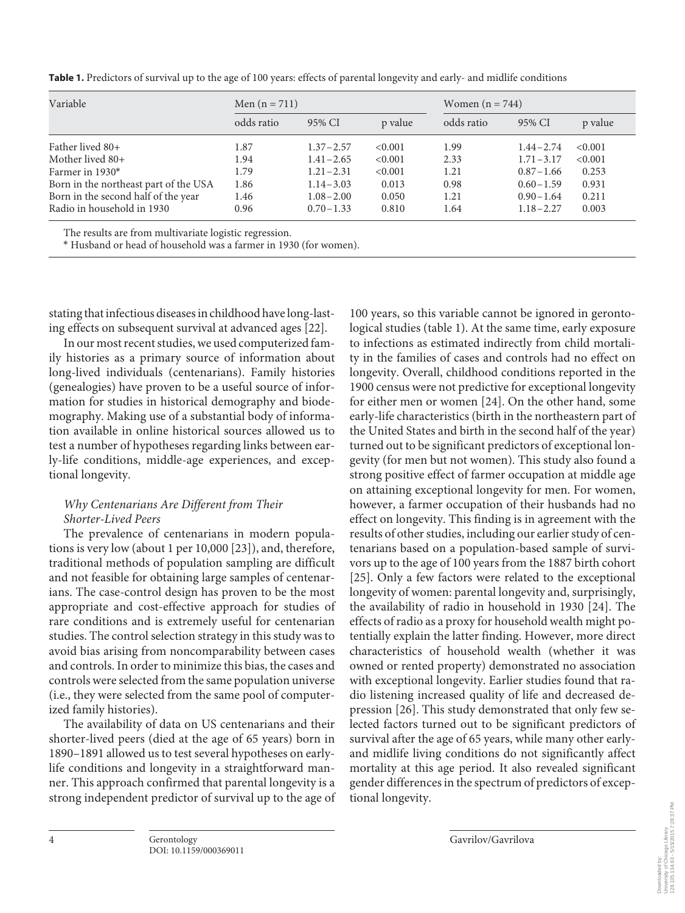**Table 1.** Predictors of survival up to the age of 100 years: effects of parental longevity and early- and midlife conditions

| Variable                              | Men $(n = 711)$ |               |         | Women $(n = 744)$ |               |         |
|---------------------------------------|-----------------|---------------|---------|-------------------|---------------|---------|
|                                       | odds ratio      | 95% CI        | p value | odds ratio        | 95% CI        | p value |
| Father lived 80+                      | 1.87            | $1.37 - 2.57$ | < 0.001 | 1.99              | $1.44 - 2.74$ | < 0.001 |
| Mother lived $80+$                    | 1.94            | $1.41 - 2.65$ | < 0.001 | 2.33              | $1.71 - 3.17$ | < 0.001 |
| Farmer in 1930*                       | 1.79            | $1.21 - 2.31$ | < 0.001 | 1.21              | $0.87 - 1.66$ | 0.253   |
| Born in the northeast part of the USA | 1.86            | $1.14 - 3.03$ | 0.013   | 0.98              | $0.60 - 1.59$ | 0.931   |
| Born in the second half of the year   | 1.46            | $1.08 - 2.00$ | 0.050   | 1.21              | $0.90 - 1.64$ | 0.211   |
| Radio in household in 1930            | 0.96            | $0.70 - 1.33$ | 0.810   | 1.64              | $1.18 - 2.27$ | 0.003   |

\* Husband or head of household was a farmer in 1930 (for women).

stating that infectious diseases in childhood have long-lasting effects on subsequent survival at advanced ages [22] .

 In our most recent studies, we used computerized family histories as a primary source of information about long-lived individuals (centenarians). Family histories (genealogies) have proven to be a useful source of information for studies in historical demography and biodemography. Making use of a substantial body of information available in online historical sources allowed us to test a number of hypotheses regarding links between early-life conditions, middle-age experiences, and exceptional longevity.

## *Why Centenarians Are Different from Their Shorter-Lived Peers*

 The prevalence of centenarians in modern populations is very low (about 1 per 10,000 [23] ), and, therefore, traditional methods of population sampling are difficult and not feasible for obtaining large samples of centenarians. The case-control design has proven to be the most appropriate and cost-effective approach for studies of rare conditions and is extremely useful for centenarian studies. The control selection strategy in this study was to avoid bias arising from noncomparability between cases and controls. In order to minimize this bias, the cases and controls were selected from the same population universe (i.e., they were selected from the same pool of computerized family histories).

 The availability of data on US centenarians and their shorter-lived peers (died at the age of 65 years) born in 1890–1891 allowed us to test several hypotheses on earlylife conditions and longevity in a straightforward manner. This approach confirmed that parental longevity is a strong independent predictor of survival up to the age of 100 years, so this variable cannot be ignored in gerontological studies (table 1). At the same time, early exposure to infections as estimated indirectly from child mortality in the families of cases and controls had no effect on longevity. Overall, childhood conditions reported in the 1900 census were not predictive for exceptional longevity for either men or women [24]. On the other hand, some early-life characteristics (birth in the northeastern part of the United States and birth in the second half of the year) turned out to be significant predictors of exceptional longevity (for men but not women). This study also found a strong positive effect of farmer occupation at middle age on attaining exceptional longevity for men. For women, however, a farmer occupation of their husbands had no effect on longevity. This finding is in agreement with the results of other studies, including our earlier study of centenarians based on a population-based sample of survivors up to the age of 100 years from the 1887 birth cohort [25]. Only a few factors were related to the exceptional longevity of women: parental longevity and, surprisingly, the availability of radio in household in 1930 [24]. The effects of radio as a proxy for household wealth might potentially explain the latter finding. However, more direct characteristics of household wealth (whether it was owned or rented property) demonstrated no association with exceptional longevity. Earlier studies found that radio listening increased quality of life and decreased depression [26]. This study demonstrated that only few selected factors turned out to be significant predictors of survival after the age of 65 years, while many other earlyand midlife living conditions do not significantly affect mortality at this age period. It also revealed significant gender differences in the spectrum of predictors of exceptional longevity.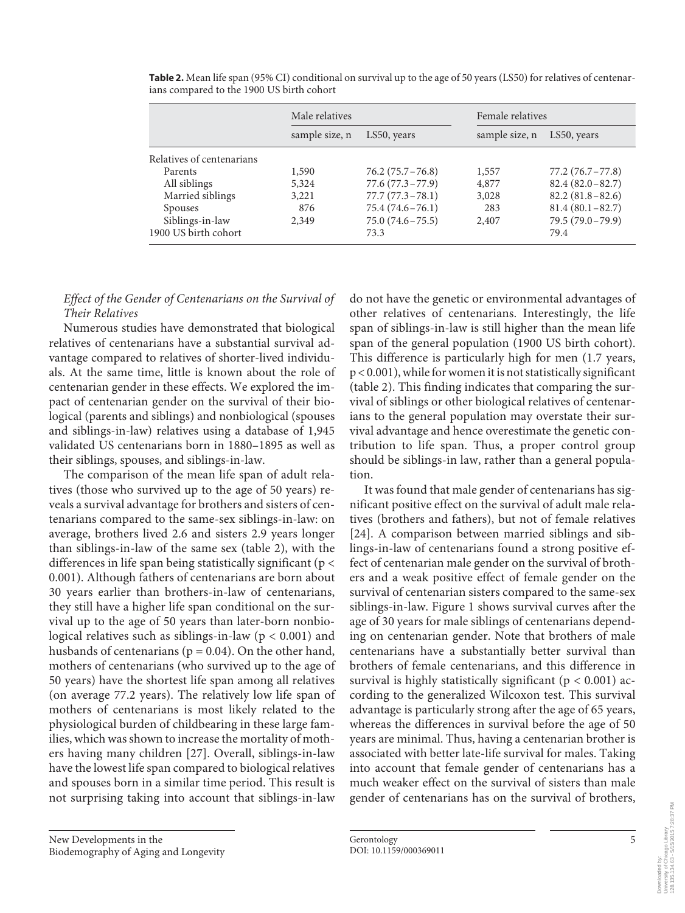|                           | Male relatives |                      | Female relatives |                      |  |
|---------------------------|----------------|----------------------|------------------|----------------------|--|
|                           | sample size, n | LS50, years          | sample size, n   | LS50, years          |  |
| Relatives of centenarians |                |                      |                  |                      |  |
| Parents                   | 1,590          | $76.2 (75.7 - 76.8)$ | 1,557            | $77.2(76.7 - 77.8)$  |  |
| All siblings              | 5,324          | $77.6 (77.3 - 77.9)$ | 4,877            | $82.4 (82.0 - 82.7)$ |  |
| Married siblings          | 3,221          | $77.7(77.3 - 78.1)$  | 3,028            | $82.2 (81.8 - 82.6)$ |  |
| <b>Spouses</b>            | 876            | $75.4(74.6 - 76.1)$  | 283              | $81.4(80.1-82.7)$    |  |
| Siblings-in-law           | 2,349          | $75.0(74.6 - 75.5)$  | 2,407            | $79.5(79.0-79.9)$    |  |
| 1900 US birth cohort      |                | 73.3                 |                  | 79.4                 |  |

 **Table 2.** Mean life span (95% CI) conditional on survival up to the age of 50 years (LS50) for relatives of centenarians compared to the 1900 US birth cohort

## *Effect of the Gender of Centenarians on the Survival of Their Relatives*

 Numerous studies have demonstrated that biological relatives of centenarians have a substantial survival advantage compared to relatives of shorter-lived individuals. At the same time, little is known about the role of centenarian gender in these effects. We explored the impact of centenarian gender on the survival of their biological (parents and siblings) and nonbiological (spouses and siblings-in-law) relatives using a database of 1,945 validated US centenarians born in 1880–1895 as well as their siblings, spouses, and siblings-in-law.

 The comparison of the mean life span of adult relatives (those who survived up to the age of 50 years) reveals a survival advantage for brothers and sisters of centenarians compared to the same-sex siblings-in-law: on average, brothers lived 2.6 and sisters 2.9 years longer than siblings-in-law of the same sex (table 2), with the differences in life span being statistically significant (p < 0.001). Although fathers of centenarians are born about 30 years earlier than brothers-in-law of centenarians, they still have a higher life span conditional on the survival up to the age of 50 years than later-born nonbiological relatives such as siblings-in-law ( $p < 0.001$ ) and husbands of centenarians ( $p = 0.04$ ). On the other hand, mothers of centenarians (who survived up to the age of 50 years) have the shortest life span among all relatives (on average 77.2 years). The relatively low life span of mothers of centenarians is most likely related to the physiological burden of childbearing in these large families, which was shown to increase the mortality of mothers having many children [27] . Overall, siblings-in-law have the lowest life span compared to biological relatives and spouses born in a similar time period. This result is not surprising taking into account that siblings-in-law

(table 2). This finding indicates that comparing the survival of siblings or other biological relatives of centenarians to the general population may overstate their survival advantage and hence overestimate the genetic contribution to life span. Thus, a proper control group should be siblings-in law, rather than a general population. It was found that male gender of centenarians has significant positive effect on the survival of adult male relatives (brothers and fathers), but not of female relatives [24]. A comparison between married siblings and sib-

lings-in-law of centenarians found a strong positive effect of centenarian male gender on the survival of brothers and a weak positive effect of female gender on the survival of centenarian sisters compared to the same-sex siblings-in-law. Figure 1 shows survival curves after the age of 30 years for male siblings of centenarians depending on centenarian gender. Note that brothers of male centenarians have a substantially better survival than brothers of female centenarians, and this difference in survival is highly statistically significant ( $p < 0.001$ ) according to the generalized Wilcoxon test. This survival advantage is particularly strong after the age of 65 years, whereas the differences in survival before the age of 50 years are minimal. Thus, having a centenarian brother is associated with better late-life survival for males. Taking into account that female gender of centenarians has a much weaker effect on the survival of sisters than male gender of centenarians has on the survival of brothers,

do not have the genetic or environmental advantages of other relatives of centenarians. Interestingly, the life span of siblings-in-law is still higher than the mean life span of the general population (1900 US birth cohort). This difference is particularly high for men (1.7 years, p < 0.001), while for women it is not statistically significant

5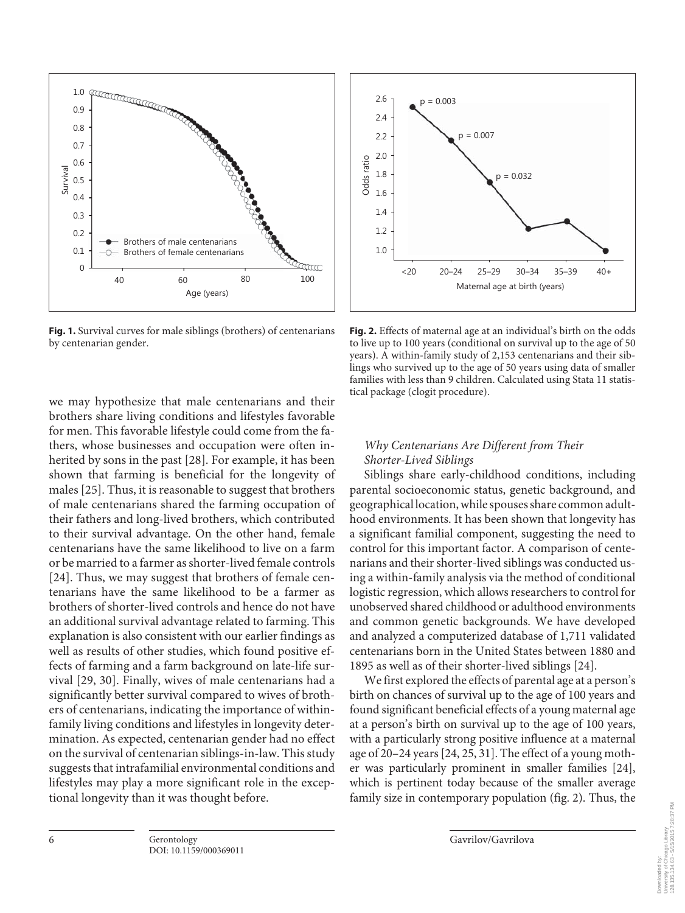

**Fig. 1.** Survival curves for male siblings (brothers) of centenarians by centenarian gender.

we may hypothesize that male centenarians and their brothers share living conditions and lifestyles favorable for men. This favorable lifestyle could come from the fathers, whose businesses and occupation were often inherited by sons in the past [28]. For example, it has been shown that farming is beneficial for the longevity of males [25]. Thus, it is reasonable to suggest that brothers of male centenarians shared the farming occupation of their fathers and long-lived brothers, which contributed to their survival advantage. On the other hand, female centenarians have the same likelihood to live on a farm or be married to a farmer as shorter-lived female controls [24]. Thus, we may suggest that brothers of female centenarians have the same likelihood to be a farmer as brothers of shorter-lived controls and hence do not have an additional survival advantage related to farming. This explanation is also consistent with our earlier findings as well as results of other studies, which found positive effects of farming and a farm background on late-life survival [29, 30]. Finally, wives of male centenarians had a significantly better survival compared to wives of brothers of centenarians, indicating the importance of withinfamily living conditions and lifestyles in longevity determination. As expected, centenarian gender had no effect on the survival of centenarian siblings-in-law. This study suggests that intrafamilial environmental conditions and lifestyles may play a more significant role in the exceptional longevity than it was thought before.



**Fig. 2.** Effects of maternal age at an individual's birth on the odds to live up to 100 years (conditional on survival up to the age of 50 years). A within-family study of 2,153 centenarians and their siblings who survived up to the age of 50 years using data of smaller families with less than 9 children. Calculated using Stata 11 statistical package (clogit procedure).

## *Why Centenarians Are Different from Their Shorter-Lived Siblings*

 Siblings share early-childhood conditions, including parental socioeconomic status, genetic background, and geographical location, while spouses share common adulthood environments. It has been shown that longevity has a significant familial component, suggesting the need to control for this important factor. A comparison of centenarians and their shorter-lived siblings was conducted using a within-family analysis via the method of conditional logistic regression, which allows researchers to control for unobserved shared childhood or adulthood environments and common genetic backgrounds. We have developed and analyzed a computerized database of 1,711 validated centenarians born in the United States between 1880 and 1895 as well as of their shorter-lived siblings [24] .

 We first explored the effects of parental age at a person's birth on chances of survival up to the age of 100 years and found significant beneficial effects of a young maternal age at a person's birth on survival up to the age of 100 years, with a particularly strong positive influence at a maternal age of 20–24 years [24, 25, 31] . The effect of a young mother was particularly prominent in smaller families [24], which is pertinent today because of the smaller average family size in contemporary population (fig. 2). Thus, the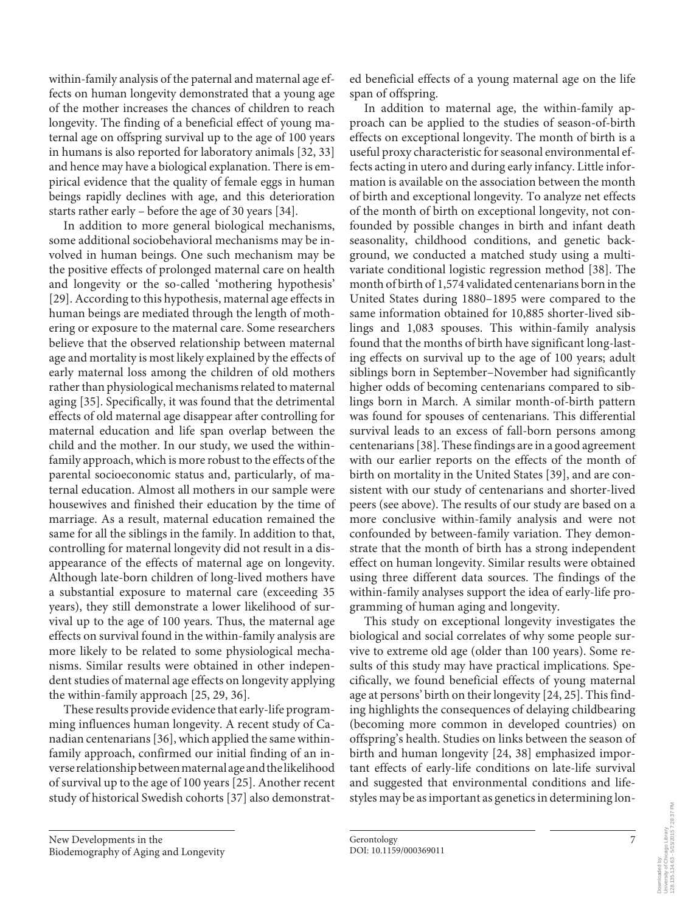within-family analysis of the paternal and maternal age effects on human longevity demonstrated that a young age of the mother increases the chances of children to reach longevity. The finding of a beneficial effect of young maternal age on offspring survival up to the age of 100 years in humans is also reported for laboratory animals [32, 33] and hence may have a biological explanation. There is empirical evidence that the quality of female eggs in human beings rapidly declines with age, and this deterioration starts rather early – before the age of 30 years [34] .

 In addition to more general biological mechanisms, some additional sociobehavioral mechanisms may be involved in human beings. One such mechanism may be the positive effects of prolonged maternal care on health and longevity or the so-called 'mothering hypothesis' [29]. According to this hypothesis, maternal age effects in human beings are mediated through the length of mothering or exposure to the maternal care. Some researchers believe that the observed relationship between maternal age and mortality is most likely explained by the effects of early maternal loss among the children of old mothers rather than physiological mechanisms related to maternal aging [35]. Specifically, it was found that the detrimental effects of old maternal age disappear after controlling for maternal education and life span overlap between the child and the mother. In our study, we used the withinfamily approach, which is more robust to the effects of the parental socioeconomic status and, particularly, of maternal education. Almost all mothers in our sample were housewives and finished their education by the time of marriage. As a result, maternal education remained the same for all the siblings in the family. In addition to that, controlling for maternal longevity did not result in a disappearance of the effects of maternal age on longevity. Although late-born children of long-lived mothers have a substantial exposure to maternal care (exceeding 35 years), they still demonstrate a lower likelihood of survival up to the age of 100 years. Thus, the maternal age effects on survival found in the within-family analysis are more likely to be related to some physiological mechanisms. Similar results were obtained in other independent studies of maternal age effects on longevity applying the within-family approach [25, 29, 36] .

 These results provide evidence that early-life programming influences human longevity. A recent study of Canadian centenarians [36], which applied the same withinfamily approach, confirmed our initial finding of an inverse relationship between maternal age and the likelihood of survival up to the age of 100 years [25] . Another recent study of historical Swedish cohorts [37] also demonstrated beneficial effects of a young maternal age on the life span of offspring.

 In addition to maternal age, the within-family approach can be applied to the studies of season-of-birth effects on exceptional longevity. The month of birth is a useful proxy characteristic for seasonal environmental effects acting in utero and during early infancy. Little information is available on the association between the month of birth and exceptional longevity *.* To analyze net effects of the month of birth on exceptional longevity, not confounded by possible changes in birth and infant death seasonality, childhood conditions, and genetic background, we conducted a matched study using a multivariate conditional logistic regression method [38]. The month of birth of 1,574 validated centenarians born in the United States during 1880–1895 were compared to the same information obtained for 10,885 shorter-lived siblings and 1,083 spouses. This within-family analysis found that the months of birth have significant long-lasting effects on survival up to the age of 100 years; adult siblings born in September–November had significantly higher odds of becoming centenarians compared to siblings born in March. A similar month-of-birth pattern was found for spouses of centenarians. This differential survival leads to an excess of fall-born persons among centenarians [38] . These findings are in a good agreement with our earlier reports on the effects of the month of birth on mortality in the United States [39], and are consistent with our study of centenarians and shorter-lived peers (see above). The results of our study are based on a more conclusive within-family analysis and were not confounded by between-family variation. They demonstrate that the month of birth has a strong independent effect on human longevity. Similar results were obtained using three different data sources. The findings of the within-family analyses support the idea of early-life programming of human aging and longevity.

 This study on exceptional longevity investigates the biological and social correlates of why some people survive to extreme old age (older than 100 years). Some results of this study may have practical implications. Specifically, we found beneficial effects of young maternal age at persons' birth on their longevity [24, 25] . This finding highlights the consequences of delaying childbearing (becoming more common in developed countries) on offspring's health. Studies on links between the season of birth and human longevity [24, 38] emphasized important effects of early-life conditions on late-life survival and suggested that environmental conditions and lifestyles may be as important as genetics in determining lon-